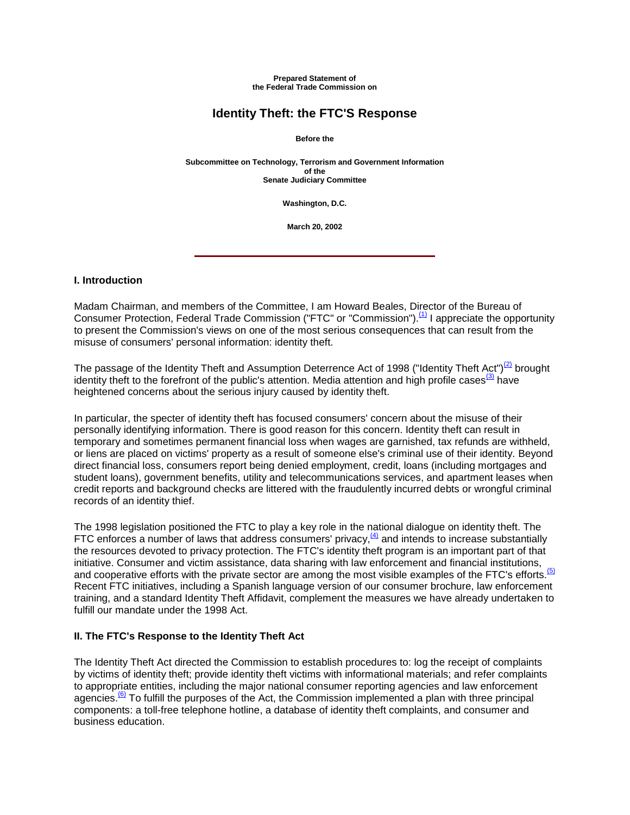**Prepared Statement of the Federal Trade Commission on**

# **Identity Theft: the FTC'S Response**

**Before the**

**Subcommittee on Technology, Terrorism and Government Information of the Senate Judiciary Committee**

**Washington, D.C.**

**March 20, 2002**

#### **I. Introduction**

Madam Chairman, and members of the Committee, I am Howard Beales, Director of the Bureau of Consumer Protection, Federal Trade Commission ("FTC" or "Commission").<sup>(1)</sup> I appreciate the opportunity to present the Commission's views on one of the most serious consequences that can result from the misuse of consumers' personal information: identity theft.

The passage of the Identity Theft and Assumption Deterrence Act of 1998 ("Identity Theft Act")<sup>(2)</sup> brought identity theft to the forefront of the public's attention. Media attention and high profile cases  $(3)$  have heightened concerns about the serious injury caused by identity theft.

In particular, the specter of identity theft has focused consumers' concern about the misuse of their personally identifying information. There is good reason for this concern. Identity theft can result in temporary and sometimes permanent financial loss when wages are garnished, tax refunds are withheld, or liens are placed on victims' property as a result of someone else's criminal use of their identity. Beyond direct financial loss, consumers report being denied employment, credit, loans (including mortgages and student loans), government benefits, utility and telecommunications services, and apartment leases when credit reports and background checks are littered with the fraudulently incurred debts or wrongful criminal records of an identity thief.

The 1998 legislation positioned the FTC to play a key role in the national dialogue on identity theft. The FTC enforces a number of laws that address consumers' privacy, $\frac{4}{12}$  and intends to increase substantially the resources devoted to privacy protection. The FTC's identity theft program is an important part of that initiative. Consumer and victim assistance, data sharing with law enforcement and financial institutions, and cooperative efforts with the private sector are among the most visible examples of the FTC's efforts.<sup>(5)</sup> Recent FTC initiatives, including a Spanish language version of our consumer brochure, law enforcement training, and a standard Identity Theft Affidavit, complement the measures we have already undertaken to fulfill our mandate under the 1998 Act.

#### **II. The FTC's Response to the Identity Theft Act**

The Identity Theft Act directed the Commission to establish procedures to: log the receipt of complaints by victims of identity theft; provide identity theft victims with informational materials; and refer complaints to appropriate entities, including the major national consumer reporting agencies and law enforcement agencies.<sup>(6)</sup> To fulfill the purposes of the Act, the Commission implemented a plan with three principal components: a toll-free telephone hotline, a database of identity theft complaints, and consumer and business education.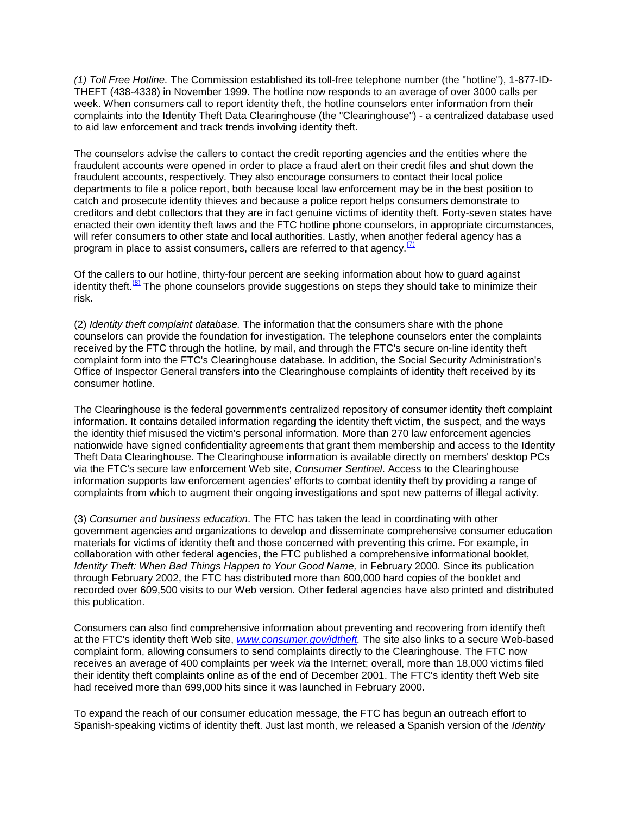*(1) Toll Free Hotline.* The Commission established its toll-free telephone number (the "hotline"), 1-877-ID-THEFT (438-4338) in November 1999. The hotline now responds to an average of over 3000 calls per week. When consumers call to report identity theft, the hotline counselors enter information from their complaints into the Identity Theft Data Clearinghouse (the "Clearinghouse") - a centralized database used to aid law enforcement and track trends involving identity theft.

The counselors advise the callers to contact the credit reporting agencies and the entities where the fraudulent accounts were opened in order to place a fraud alert on their credit files and shut down the fraudulent accounts, respectively. They also encourage consumers to contact their local police departments to file a police report, both because local law enforcement may be in the best position to catch and prosecute identity thieves and because a police report helps consumers demonstrate to creditors and debt collectors that they are in fact genuine victims of identity theft. Forty-seven states have enacted their own identity theft laws and the FTC hotline phone counselors, in appropriate circumstances, will refer consumers to other state and local authorities. Lastly, when another federal agency has a program in place to assist consumers, callers are referred to that agency. $\frac{7}{2}$ 

Of the callers to our hotline, thirty-four percent are seeking information about how to guard against identity theft. $\frac{18}{2}$  The phone counselors provide suggestions on steps they should take to minimize their risk.

(2) *Identity theft complaint database.* The information that the consumers share with the phone counselors can provide the foundation for investigation. The telephone counselors enter the complaints received by the FTC through the hotline, by mail, and through the FTC's secure on-line identity theft complaint form into the FTC's Clearinghouse database. In addition, the Social Security Administration's Office of Inspector General transfers into the Clearinghouse complaints of identity theft received by its consumer hotline.

The Clearinghouse is the federal government's centralized repository of consumer identity theft complaint information. It contains detailed information regarding the identity theft victim, the suspect, and the ways the identity thief misused the victim's personal information. More than 270 law enforcement agencies nationwide have signed confidentiality agreements that grant them membership and access to the Identity Theft Data Clearinghouse. The Clearinghouse information is available directly on members' desktop PCs via the FTC's secure law enforcement Web site, *Consumer Sentinel*. Access to the Clearinghouse information supports law enforcement agencies' efforts to combat identity theft by providing a range of complaints from which to augment their ongoing investigations and spot new patterns of illegal activity.

(3) *Consumer and business education*. The FTC has taken the lead in coordinating with other government agencies and organizations to develop and disseminate comprehensive consumer education materials for victims of identity theft and those concerned with preventing this crime. For example, in collaboration with other federal agencies, the FTC published a comprehensive informational booklet, *Identity Theft: When Bad Things Happen to Your Good Name,* in February 2000. Since its publication through February 2002, the FTC has distributed more than 600,000 hard copies of the booklet and recorded over 609,500 visits to our Web version. Other federal agencies have also printed and distributed this publication.

Consumers can also find comprehensive information about preventing and recovering from identify theft at the FTC's identity theft Web site, *[www.consumer.gov/idtheft.](http://www.consumer.gov/idtheft)* The site also links to a secure Web-based complaint form, allowing consumers to send complaints directly to the Clearinghouse. The FTC now receives an average of 400 complaints per week *via* the Internet; overall, more than 18,000 victims filed their identity theft complaints online as of the end of December 2001. The FTC's identity theft Web site had received more than 699,000 hits since it was launched in February 2000.

To expand the reach of our consumer education message, the FTC has begun an outreach effort to Spanish-speaking victims of identity theft. Just last month, we released a Spanish version of the *Identity*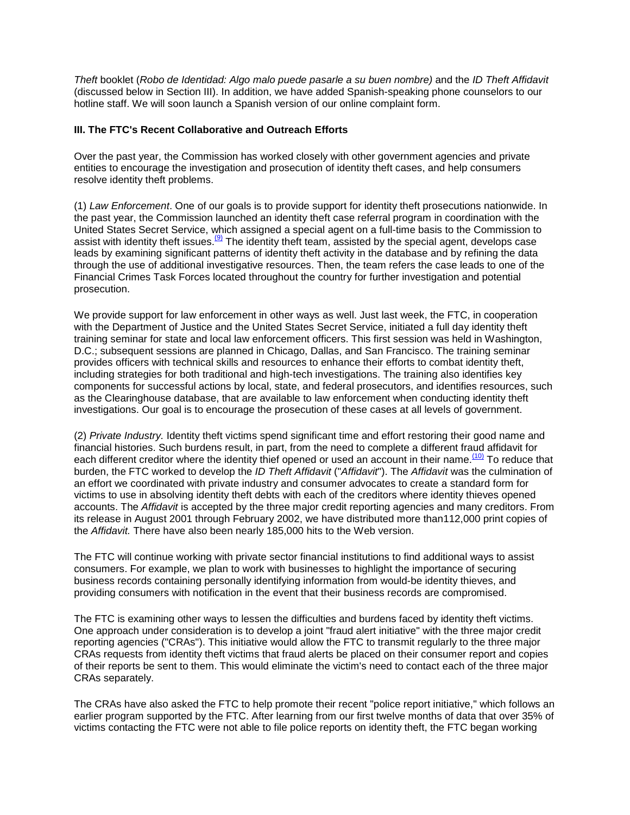*Theft* booklet (*Robo de Identidad: Algo malo puede pasarle a su buen nombre)* and the *ID Theft Affidavit* (discussed below in Section III). In addition, we have added Spanish-speaking phone counselors to our hotline staff. We will soon launch a Spanish version of our online complaint form.

### **III. The FTC's Recent Collaborative and Outreach Efforts**

Over the past year, the Commission has worked closely with other government agencies and private entities to encourage the investigation and prosecution of identity theft cases, and help consumers resolve identity theft problems.

(1) *Law Enforcement*. One of our goals is to provide support for identity theft prosecutions nationwide. In the past year, the Commission launched an identity theft case referral program in coordination with the United States Secret Service, which assigned a special agent on a full-time basis to the Commission to assist with identity theft issues.<sup>(9)</sup> The identity theft team, assisted by the special agent, develops case leads by examining significant patterns of identity theft activity in the database and by refining the data through the use of additional investigative resources. Then, the team refers the case leads to one of the Financial Crimes Task Forces located throughout the country for further investigation and potential prosecution.

We provide support for law enforcement in other ways as well. Just last week, the FTC, in cooperation with the Department of Justice and the United States Secret Service, initiated a full day identity theft training seminar for state and local law enforcement officers. This first session was held in Washington, D.C.; subsequent sessions are planned in Chicago, Dallas, and San Francisco. The training seminar provides officers with technical skills and resources to enhance their efforts to combat identity theft, including strategies for both traditional and high-tech investigations. The training also identifies key components for successful actions by local, state, and federal prosecutors, and identifies resources, such as the Clearinghouse database, that are available to law enforcement when conducting identity theft investigations. Our goal is to encourage the prosecution of these cases at all levels of government.

(2) *Private Industry.* Identity theft victims spend significant time and effort restoring their good name and financial histories. Such burdens result, in part, from the need to complete a different fraud affidavit for each different creditor where the identity thief opened or used an account in their name.<sup>(10)</sup> To reduce that burden, the FTC worked to develop the *ID Theft Affidavit* ("*Affidavit*"). The *Affidavit* was the culmination of an effort we coordinated with private industry and consumer advocates to create a standard form for victims to use in absolving identity theft debts with each of the creditors where identity thieves opened accounts. The *Affidavit* is accepted by the three major credit reporting agencies and many creditors. From its release in August 2001 through February 2002, we have distributed more than112,000 print copies of the *Affidavit.* There have also been nearly 185,000 hits to the Web version.

The FTC will continue working with private sector financial institutions to find additional ways to assist consumers. For example, we plan to work with businesses to highlight the importance of securing business records containing personally identifying information from would-be identity thieves, and providing consumers with notification in the event that their business records are compromised.

The FTC is examining other ways to lessen the difficulties and burdens faced by identity theft victims. One approach under consideration is to develop a joint "fraud alert initiative" with the three major credit reporting agencies ("CRAs"). This initiative would allow the FTC to transmit regularly to the three major CRAs requests from identity theft victims that fraud alerts be placed on their consumer report and copies of their reports be sent to them. This would eliminate the victim's need to contact each of the three major CRAs separately.

The CRAs have also asked the FTC to help promote their recent "police report initiative," which follows an earlier program supported by the FTC. After learning from our first twelve months of data that over 35% of victims contacting the FTC were not able to file police reports on identity theft, the FTC began working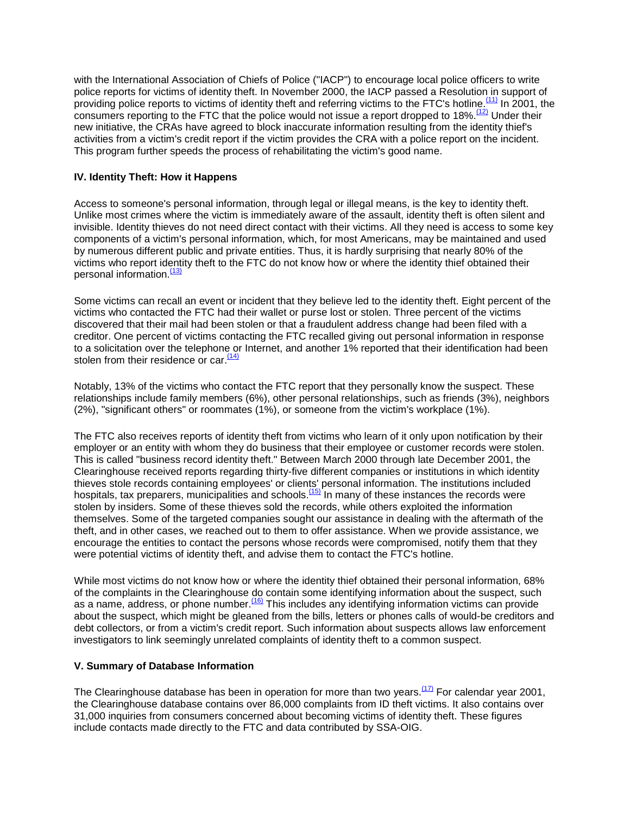with the International Association of Chiefs of Police ("IACP") to encourage local police officers to write police reports for victims of identity theft. In November 2000, the IACP passed a Resolution in support of providing police reports to victims of identity theft and referring victims to the FTC's hotline.<sup>(11)</sup> In 2001, the consumers reporting to the FTC that the police would not issue a report dropped to 18%.  $(12)$  Under their new initiative, the CRAs have agreed to block inaccurate information resulting from the identity thief's activities from a victim's credit report if the victim provides the CRA with a police report on the incident. This program further speeds the process of rehabilitating the victim's good name.

#### **IV. Identity Theft: How it Happens**

Access to someone's personal information, through legal or illegal means, is the key to identity theft. Unlike most crimes where the victim is immediately aware of the assault, identity theft is often silent and invisible. Identity thieves do not need direct contact with their victims. All they need is access to some key components of a victim's personal information, which, for most Americans, may be maintained and used by numerous different public and private entities. Thus, it is hardly surprising that nearly 80% of the victims who report identity theft to the FTC do not know how or where the identity thief obtained their personal information.<sup>(13)</sup>

Some victims can recall an event or incident that they believe led to the identity theft. Eight percent of the victims who contacted the FTC had their wallet or purse lost or stolen. Three percent of the victims discovered that their mail had been stolen or that a fraudulent address change had been filed with a creditor. One percent of victims contacting the FTC recalled giving out personal information in response to a solicitation over the telephone or Internet, and another 1% reported that their identification had been stolen from their residence or car. $<sup>11</sup>$ </sup>

Notably, 13% of the victims who contact the FTC report that they personally know the suspect. These relationships include family members (6%), other personal relationships, such as friends (3%), neighbors (2%), "significant others" or roommates (1%), or someone from the victim's workplace (1%).

The FTC also receives reports of identity theft from victims who learn of it only upon notification by their employer or an entity with whom they do business that their employee or customer records were stolen. This is called "business record identity theft." Between March 2000 through late December 2001, the Clearinghouse received reports regarding thirty-five different companies or institutions in which identity thieves stole records containing employees' or clients' personal information. The institutions included hospitals, tax preparers, municipalities and schools.<sup>(15)</sup> In many of these instances the records were stolen by insiders. Some of these thieves sold the records, while others exploited the information themselves. Some of the targeted companies sought our assistance in dealing with the aftermath of the theft, and in other cases, we reached out to them to offer assistance. When we provide assistance, we encourage the entities to contact the persons whose records were compromised, notify them that they were potential victims of identity theft, and advise them to contact the FTC's hotline.

While most victims do not know how or where the identity thief obtained their personal information, 68% of the complaints in the Clearinghouse do contain some identifying information about the suspect, such as a name, address, or phone number.<sup>(16)</sup> This includes any identifying information victims can provide about the suspect, which might be gleaned from the bills, letters or phones calls of would-be creditors and debt collectors, or from a victim's credit report. Such information about suspects allows law enforcement investigators to link seemingly unrelated complaints of identity theft to a common suspect.

## **V. Summary of Database Information**

The Clearinghouse database has been in operation for more than two years.<sup>(17)</sup> For calendar year 2001, the Clearinghouse database contains over 86,000 complaints from ID theft victims. It also contains over 31,000 inquiries from consumers concerned about becoming victims of identity theft. These figures include contacts made directly to the FTC and data contributed by SSA-OIG.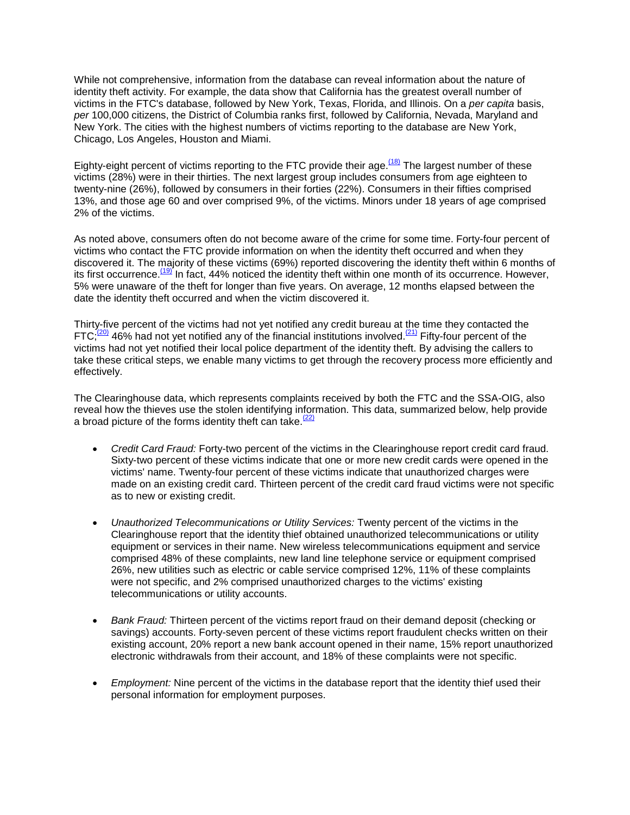While not comprehensive, information from the database can reveal information about the nature of identity theft activity. For example, the data show that California has the greatest overall number of victims in the FTC's database, followed by New York, Texas, Florida, and Illinois. On a *per capita* basis, *per* 100,000 citizens, the District of Columbia ranks first, followed by California, Nevada, Maryland and New York. The cities with the highest numbers of victims reporting to the database are New York, Chicago, Los Angeles, Houston and Miami.

Eighty-eight percent of victims reporting to the FTC provide their age.<sup> $(18)$ </sup> The largest number of these victims (28%) were in their thirties. The next largest group includes consumers from age eighteen to twenty-nine (26%), followed by consumers in their forties (22%). Consumers in their fifties comprised 13%, and those age 60 and over comprised 9%, of the victims. Minors under 18 years of age comprised 2% of the victims.

As noted above, consumers often do not become aware of the crime for some time. Forty-four percent of victims who contact the FTC provide information on when the identity theft occurred and when they discovered it. The majority of these victims (69%) reported discovering the identity theft within 6 months of its first occurrence.<sup>(19)</sup> In fact, 44% noticed the identity theft within one month of its occurrence. However, 5% were unaware of the theft for longer than five years. On average, 12 months elapsed between the date the identity theft occurred and when the victim discovered it.

Thirty-five percent of the victims had not yet notified any credit bureau at the time they contacted the FTC; $\frac{(20)}{21}$  46% had not yet notified any of the financial institutions involved.<sup>(21)</sup> Fifty-four percent of the victims had not yet notified their local police department of the identity theft. By advising the callers to take these critical steps, we enable many victims to get through the recovery process more efficiently and effectively.

The Clearinghouse data, which represents complaints received by both the FTC and the SSA-OIG, also reveal how the thieves use the stolen identifying information. This data, summarized below, help provide a broad picture of the forms identity theft can take.  $\frac{2}{2}$ 

- *Credit Card Fraud:* Forty-two percent of the victims in the Clearinghouse report credit card fraud. Sixty-two percent of these victims indicate that one or more new credit cards were opened in the victims' name. Twenty-four percent of these victims indicate that unauthorized charges were made on an existing credit card. Thirteen percent of the credit card fraud victims were not specific as to new or existing credit.
- *Unauthorized Telecommunications or Utility Services:* Twenty percent of the victims in the Clearinghouse report that the identity thief obtained unauthorized telecommunications or utility equipment or services in their name. New wireless telecommunications equipment and service comprised 48% of these complaints, new land line telephone service or equipment comprised 26%, new utilities such as electric or cable service comprised 12%, 11% of these complaints were not specific, and 2% comprised unauthorized charges to the victims' existing telecommunications or utility accounts.
- *Bank Fraud:* Thirteen percent of the victims report fraud on their demand deposit (checking or savings) accounts. Forty-seven percent of these victims report fraudulent checks written on their existing account, 20% report a new bank account opened in their name, 15% report unauthorized electronic withdrawals from their account, and 18% of these complaints were not specific.
- *Employment:* Nine percent of the victims in the database report that the identity thief used their personal information for employment purposes.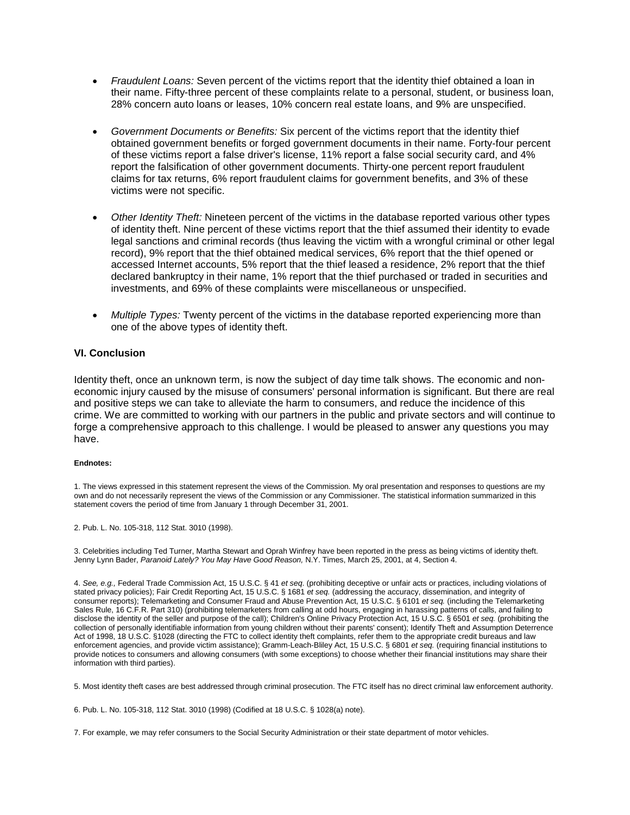- *Fraudulent Loans:* Seven percent of the victims report that the identity thief obtained a loan in their name. Fifty-three percent of these complaints relate to a personal, student, or business loan, 28% concern auto loans or leases, 10% concern real estate loans, and 9% are unspecified.
- *Government Documents or Benefits:* Six percent of the victims report that the identity thief obtained government benefits or forged government documents in their name. Forty-four percent of these victims report a false driver's license, 11% report a false social security card, and 4% report the falsification of other government documents. Thirty-one percent report fraudulent claims for tax returns, 6% report fraudulent claims for government benefits, and 3% of these victims were not specific.
- *Other Identity Theft:* Nineteen percent of the victims in the database reported various other types of identity theft. Nine percent of these victims report that the thief assumed their identity to evade legal sanctions and criminal records (thus leaving the victim with a wrongful criminal or other legal record), 9% report that the thief obtained medical services, 6% report that the thief opened or accessed Internet accounts, 5% report that the thief leased a residence, 2% report that the thief declared bankruptcy in their name, 1% report that the thief purchased or traded in securities and investments, and 69% of these complaints were miscellaneous or unspecified.
- *Multiple Types:* Twenty percent of the victims in the database reported experiencing more than one of the above types of identity theft.

#### **VI. Conclusion**

Identity theft, once an unknown term, is now the subject of day time talk shows. The economic and noneconomic injury caused by the misuse of consumers' personal information is significant. But there are real and positive steps we can take to alleviate the harm to consumers, and reduce the incidence of this crime. We are committed to working with our partners in the public and private sectors and will continue to forge a comprehensive approach to this challenge. I would be pleased to answer any questions you may have.

#### **Endnotes:**

1. The views expressed in this statement represent the views of the Commission. My oral presentation and responses to questions are my own and do not necessarily represent the views of the Commission or any Commissioner. The statistical information summarized in this statement covers the period of time from January 1 through December 31, 2001.

2. Pub. L. No. 105-318, 112 Stat. 3010 (1998).

3. Celebrities including Ted Turner, Martha Stewart and Oprah Winfrey have been reported in the press as being victims of identity theft. Jenny Lynn Bader, *Paranoid Lately? You May Have Good Reason,* N.Y. Times, March 25, 2001, at 4, Section 4.

4. *See, e.g.,* Federal Trade Commission Act, 15 U.S.C. § 41 *et seq*. (prohibiting deceptive or unfair acts or practices, including violations of stated privacy policies); Fair Credit Reporting Act, 15 U.S.C. § 1681 *et seq.* (addressing the accuracy, dissemination, and integrity of consumer reports); Telemarketing and Consumer Fraud and Abuse Prevention Act, 15 U.S.C. § 6101 *et seq.* (including the Telemarketing Sales Rule, 16 C.F.R. Part 310) (prohibiting telemarketers from calling at odd hours, engaging in harassing patterns of calls, and failing to disclose the identity of the seller and purpose of the call); Children's Online Privacy Protection Act, 15 U.S.C. § 6501 *et seq.* (prohibiting the collection of personally identifiable information from young children without their parents' consent); Identify Theft and Assumption Deterrence Act of 1998, 18 U.S.C. §1028 (directing the FTC to collect identity theft complaints, refer them to the appropriate credit bureaus and law enforcement agencies, and provide victim assistance); Gramm-Leach-Bliley Act, 15 U.S.C. § 6801 *et seq.* (requiring financial institutions to provide notices to consumers and allowing consumers (with some exceptions) to choose whether their financial institutions may share their information with third parties).

5. Most identity theft cases are best addressed through criminal prosecution. The FTC itself has no direct criminal law enforcement authority.

6. Pub. L. No. 105-318, 112 Stat. 3010 (1998) (Codified at 18 U.S.C. § 1028(a) note).

7. For example, we may refer consumers to the Social Security Administration or their state department of motor vehicles.